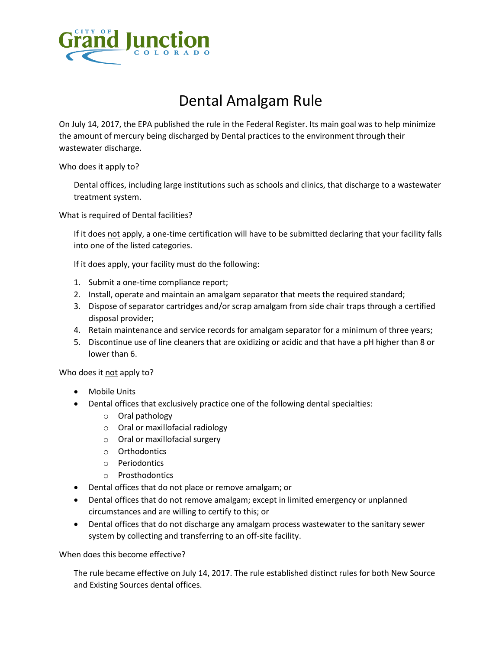

## Dental Amalgam Rule

On July 14, 2017, the EPA published the rule in the Federal Register. Its main goal was to help minimize the amount of mercury being discharged by Dental practices to the environment through their wastewater discharge.

Who does it apply to?

Dental offices, including large institutions such as schools and clinics, that discharge to a wastewater treatment system.

What is required of Dental facilities?

If it does not apply, a one-time certification will have to be submitted declaring that your facility falls into one of the listed categories.

If it does apply, your facility must do the following:

- 1. Submit a one-time compliance report;
- 2. Install, operate and maintain an amalgam separator that meets the required standard;
- 3. Dispose of separator cartridges and/or scrap amalgam from side chair traps through a certified disposal provider;
- 4. Retain maintenance and service records for amalgam separator for a minimum of three years;
- 5. Discontinue use of line cleaners that are oxidizing or acidic and that have a pH higher than 8 or lower than 6.

Who does it not apply to?

- Mobile Units
- Dental offices that exclusively practice one of the following dental specialties:
	- o Oral pathology
	- o Oral or maxillofacial radiology
	- o Oral or maxillofacial surgery
	- o Orthodontics
	- o Periodontics
	- o Prosthodontics
- Dental offices that do not place or remove amalgam; or
- Dental offices that do not remove amalgam; except in limited emergency or unplanned circumstances and are willing to certify to this; or
- Dental offices that do not discharge any amalgam process wastewater to the sanitary sewer system by collecting and transferring to an off-site facility.

When does this become effective?

The rule became effective on July 14, 2017. The rule established distinct rules for both New Source and Existing Sources dental offices.